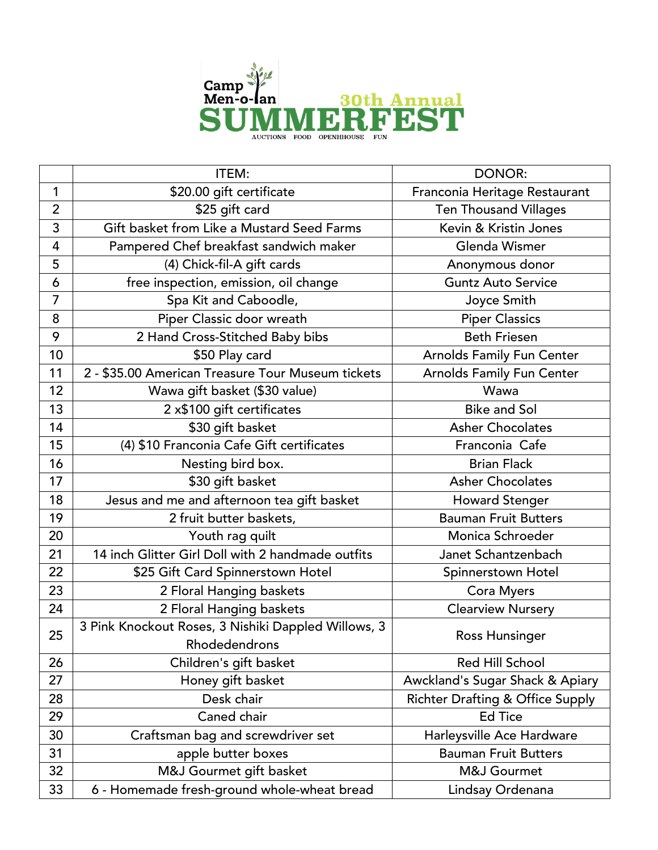

|                | ITEM:                                                                | <b>DONOR:</b>                               |
|----------------|----------------------------------------------------------------------|---------------------------------------------|
| $\mathbf{1}$   | \$20.00 gift certificate                                             | Franconia Heritage Restaurant               |
| $\overline{2}$ | \$25 gift card                                                       | <b>Ten Thousand Villages</b>                |
| 3              | Gift basket from Like a Mustard Seed Farms                           | Kevin & Kristin Jones                       |
| 4              | Pampered Chef breakfast sandwich maker                               | Glenda Wismer                               |
| 5              | (4) Chick-fil-A gift cards                                           | Anonymous donor                             |
| 6              | free inspection, emission, oil change                                | <b>Guntz Auto Service</b>                   |
| $\overline{7}$ | Spa Kit and Caboodle,                                                | Joyce Smith                                 |
| 8              | Piper Classic door wreath                                            | <b>Piper Classics</b>                       |
| 9              | 2 Hand Cross-Stitched Baby bibs                                      | <b>Beth Friesen</b>                         |
| 10             | \$50 Play card                                                       | <b>Arnolds Family Fun Center</b>            |
| 11             | 2 - \$35.00 American Treasure Tour Museum tickets                    | Arnolds Family Fun Center                   |
| 12             | Wawa gift basket (\$30 value)                                        | Wawa                                        |
| 13             | 2 x\$100 gift certificates                                           | <b>Bike and Sol</b>                         |
| 14             | \$30 gift basket                                                     | <b>Asher Chocolates</b>                     |
| 15             | (4) \$10 Franconia Cafe Gift certificates                            | Franconia Cafe                              |
| 16             | Nesting bird box.                                                    | <b>Brian Flack</b>                          |
| 17             | \$30 gift basket                                                     | <b>Asher Chocolates</b>                     |
| 18             | Jesus and me and afternoon tea gift basket                           | <b>Howard Stenger</b>                       |
| 19             | 2 fruit butter baskets,                                              | <b>Bauman Fruit Butters</b>                 |
| 20             | Youth rag quilt                                                      | Monica Schroeder                            |
| 21             | 14 inch Glitter Girl Doll with 2 handmade outfits                    | Janet Schantzenbach                         |
| 22             | \$25 Gift Card Spinnerstown Hotel                                    | Spinnerstown Hotel                          |
| 23             | 2 Floral Hanging baskets                                             | Cora Myers                                  |
| 24             | 2 Floral Hanging baskets                                             | <b>Clearview Nursery</b>                    |
| 25             | 3 Pink Knockout Roses, 3 Nishiki Dappled Willows, 3<br>Rhodedendrons | Ross Hunsinger                              |
| 26             | Children's gift basket                                               | <b>Red Hill School</b>                      |
| 27             | Honey gift basket                                                    | Awckland's Sugar Shack & Apiary             |
| 28             | Desk chair                                                           | <b>Richter Drafting &amp; Office Supply</b> |
| 29             | Caned chair                                                          | <b>Ed Tice</b>                              |
| 30             | Craftsman bag and screwdriver set                                    | Harleysville Ace Hardware                   |
| 31             | apple butter boxes                                                   | <b>Bauman Fruit Butters</b>                 |
| 32             | M&J Gourmet gift basket                                              | M&J Gourmet                                 |
| 33             | 6 - Homemade fresh-ground whole-wheat bread                          | Lindsay Ordenana                            |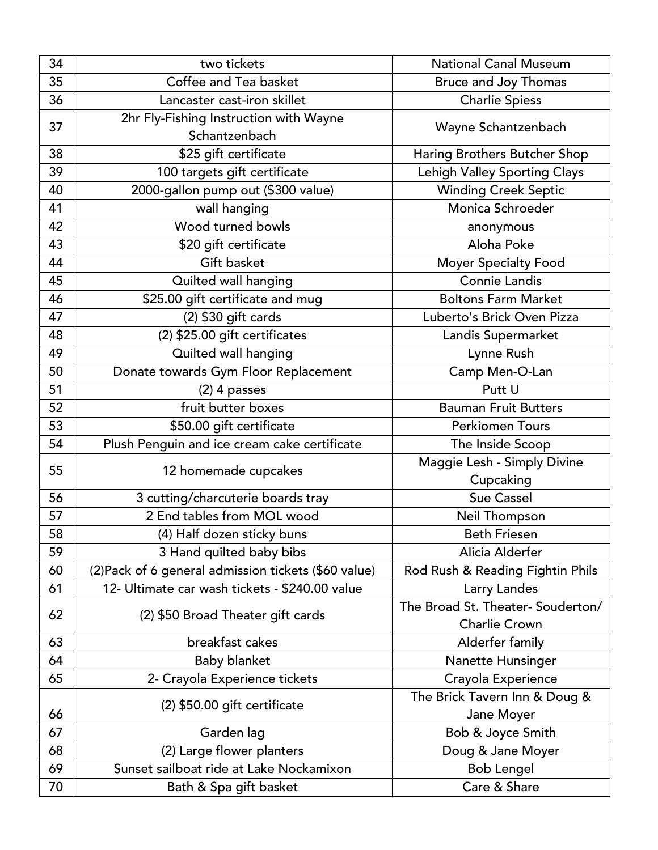| 34 | two tickets                                             | <b>National Canal Museum</b>             |
|----|---------------------------------------------------------|------------------------------------------|
| 35 | Coffee and Tea basket                                   | <b>Bruce and Joy Thomas</b>              |
| 36 | Lancaster cast-iron skillet                             | <b>Charlie Spiess</b>                    |
| 37 | 2hr Fly-Fishing Instruction with Wayne<br>Schantzenbach | Wayne Schantzenbach                      |
| 38 | \$25 gift certificate                                   | Haring Brothers Butcher Shop             |
| 39 | 100 targets gift certificate                            | Lehigh Valley Sporting Clays             |
| 40 | 2000-gallon pump out (\$300 value)                      | <b>Winding Creek Septic</b>              |
| 41 | wall hanging                                            | Monica Schroeder                         |
| 42 | Wood turned bowls                                       | anonymous                                |
| 43 | \$20 gift certificate                                   | Aloha Poke                               |
| 44 | Gift basket                                             | <b>Moyer Specialty Food</b>              |
| 45 | Quilted wall hanging                                    | <b>Connie Landis</b>                     |
| 46 | \$25.00 gift certificate and mug                        | <b>Boltons Farm Market</b>               |
| 47 | (2) \$30 gift cards                                     | Luberto's Brick Oven Pizza               |
| 48 | (2) \$25.00 gift certificates                           | Landis Supermarket                       |
| 49 | Quilted wall hanging                                    | Lynne Rush                               |
| 50 | Donate towards Gym Floor Replacement                    | Camp Men-O-Lan                           |
| 51 | $(2)$ 4 passes                                          | Putt U                                   |
| 52 | fruit butter boxes                                      | <b>Bauman Fruit Butters</b>              |
| 53 | \$50.00 gift certificate                                | <b>Perkiomen Tours</b>                   |
| 54 | Plush Penguin and ice cream cake certificate            | The Inside Scoop                         |
| 55 | 12 homemade cupcakes                                    | Maggie Lesh - Simply Divine<br>Cupcaking |
| 56 | 3 cutting/charcuterie boards tray                       | <b>Sue Cassel</b>                        |
| 57 | 2 End tables from MOL wood                              | Neil Thompson                            |
| 58 | (4) Half dozen sticky buns                              | <b>Beth Friesen</b>                      |
| 59 | 3 Hand quilted baby bibs                                | Alicia Alderfer                          |
| 60 | (2) Pack of 6 general admission tickets (\$60 value)    | Rod Rush & Reading Fightin Phils         |
| 61 | 12- Ultimate car wash tickets - \$240.00 value          | Larry Landes                             |
|    | (2) \$50 Broad Theater gift cards                       | The Broad St. Theater- Souderton/        |
| 62 |                                                         | <b>Charlie Crown</b>                     |
| 63 | breakfast cakes                                         | Alderfer family                          |
| 64 | <b>Baby blanket</b>                                     | Nanette Hunsinger                        |
| 65 | 2- Crayola Experience tickets                           | Crayola Experience                       |
|    |                                                         | The Brick Tavern Inn & Doug &            |
| 66 | (2) \$50.00 gift certificate                            | Jane Moyer                               |
| 67 | Garden lag                                              | Bob & Joyce Smith                        |
| 68 | (2) Large flower planters                               | Doug & Jane Moyer                        |
| 69 | Sunset sailboat ride at Lake Nockamixon                 | <b>Bob Lengel</b>                        |
| 70 | Bath & Spa gift basket                                  | Care & Share                             |